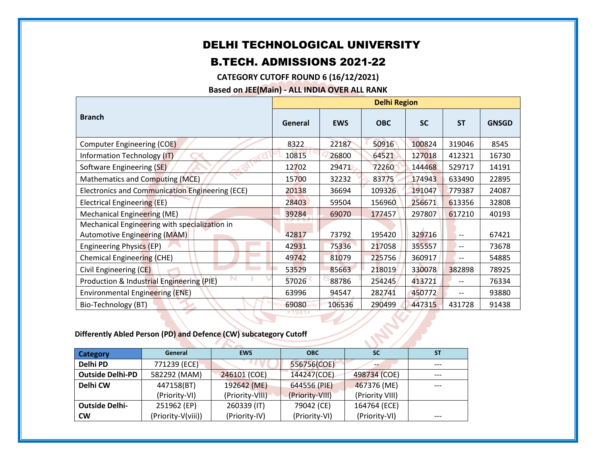## DELHI TECHNOLOGICAL UNIVERSITY

## B.TECH. ADMISSIONS 2021-22

**CATEGORY CUTOFF ROUND 6 (16/12/2021)**

**Based on JEE(Main) - ALL INDIA OVER ALL RANK**

|                                                 | <b>Delhi Region</b> |            |            |           |           |              |
|-------------------------------------------------|---------------------|------------|------------|-----------|-----------|--------------|
| <b>Branch</b>                                   | General             | <b>EWS</b> | <b>OBC</b> | <b>SC</b> | <b>ST</b> | <b>GNSGD</b> |
| Computer Engineering (COE)                      | 8322                | 22187      | 50916      | 100824    | 319046    | 8545         |
| Information Technology (IT)                     | 10815               | 26800      | 64521      | 127018    | 412321    | 16730        |
| Software Engineering (SE)                       | 12702               | 29471      | 72260      | 144468    | 529717    | 14191        |
| Mathematics and Computing (MCE)                 | 15700               | 32232      | 83775      | 174943    | 633490    | 22895        |
| Electronics and Communication Engineering (ECE) | 20138               | 36694      | 109326     | 191047    | 779387    | 24087        |
| Electrical Engineering (EE)                     | 28403               | 59504      | 156960     | 256671    | 613356    | 32808        |
| Mechanical Engineering (ME)                     | 39284               | 69070      | 177457     | 297807    | 617210    | 40193        |
| Mechanical Engineering with specialization in   |                     |            |            |           |           |              |
| Automotive Engineering (MAM)                    | 42817               | 73792      | 195420     | 329716    | $-$       | 67421        |
| Engineering Physics (EP)                        | 42931               | 75336      | 217058     | 355557    | $-$       | 73678        |
| Chemical Engineering (CHE)                      | 49742               | 81079      | 225756     | 360917    |           | 54885        |
| Civil Engineering (CE)                          | 53529               | 85663      | 218019     | 330078    | 382898    | 78925        |
| Production & Industrial Engineering (PIE)       | 57026               | 88786      | 254245     | 413721    |           | 76334        |
| Environmental Engineering (ENE)                 | 63996               | 94547      | 282741     | 450772    |           | 93880        |
| Bio-Technology (BT)                             | 69080               | 106536     | 290499     | 447315    | 431728    | 91438        |

## **Differently Abled Person (PD) and Defence (CW) subcategory Cutoff**

| <b>Category</b>         | General            | <b>EWS</b>      | <b>OBC</b>      |                 | <b>ST</b> |  |  |
|-------------------------|--------------------|-----------------|-----------------|-----------------|-----------|--|--|
| Delhi PD                | 771239 (ECE)       |                 | 556756(COE)     |                 |           |  |  |
| <b>Outside Delhi-PD</b> | 582292 (MAM)       | 246101 (COE)    | 144247(COE)     | 498734 (COE)    |           |  |  |
| Delhi CW                | 447158(BT)         | 192642 (ME)     | 644556 (PIE)    | 467376 (ME)     | ---       |  |  |
|                         | (Priority-VI)      | (Priority-VIII) | (Priority-VIII) | (Priority VIII) |           |  |  |
| <b>Outside Delhi-</b>   | 251962 (EP)        | 260339 (IT)     | 79042 (CE)      | 164764 (ECE)    |           |  |  |
| <b>CW</b>               | (Priority-V(viii)) | (Priority-IV)   | (Priority-VI)   | (Priority-VI)   | ---       |  |  |